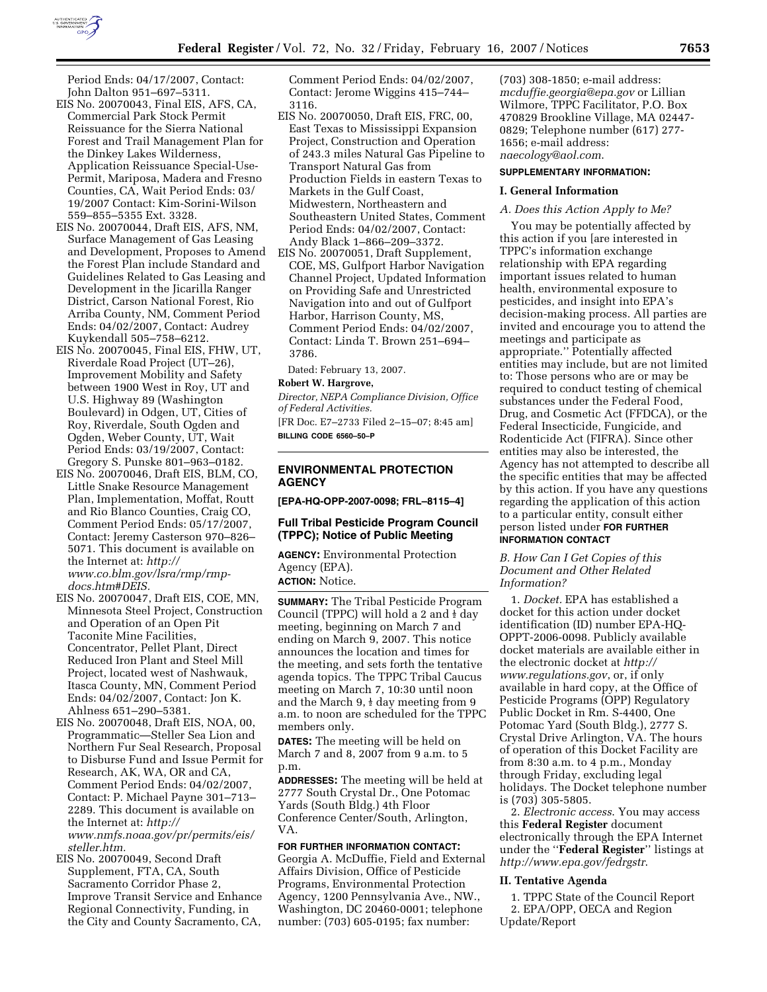

Period Ends: 04/17/2007, Contact: John Dalton 951–697–5311.

- EIS No. 20070043, Final EIS, AFS, CA, Commercial Park Stock Permit Reissuance for the Sierra National Forest and Trail Management Plan for the Dinkey Lakes Wilderness, Application Reissuance Special-Use-Permit, Mariposa, Madera and Fresno Counties, CA, Wait Period Ends: 03/ 19/2007 Contact: Kim-Sorini-Wilson 559–855–5355 Ext. 3328.
- EIS No. 20070044, Draft EIS, AFS, NM, Surface Management of Gas Leasing and Development, Proposes to Amend the Forest Plan include Standard and Guidelines Related to Gas Leasing and Development in the Jicarilla Ranger District, Carson National Forest, Rio Arriba County, NM, Comment Period Ends: 04/02/2007, Contact: Audrey Kuykendall 505–758–6212.
- EIS No. 20070045, Final EIS, FHW, UT, Riverdale Road Project (UT–26), Improvement Mobility and Safety between 1900 West in Roy, UT and U.S. Highway 89 (Washington Boulevard) in Odgen, UT, Cities of Roy, Riverdale, South Ogden and Ogden, Weber County, UT, Wait Period Ends: 03/19/2007, Contact: Gregory S. Punske 801–963–0182.
- EIS No. 20070046, Draft EIS, BLM, CO, Little Snake Resource Management Plan, Implementation, Moffat, Routt and Rio Blanco Counties, Craig CO, Comment Period Ends: 05/17/2007, Contact: Jeremy Casterson 970–826– 5071. This document is available on the Internet at: *http:// www.co.blm.gov/lsra/rmp/rmpdocs.htm#DEIS.*
- EIS No. 20070047, Draft EIS, COE, MN, Minnesota Steel Project, Construction and Operation of an Open Pit Taconite Mine Facilities, Concentrator, Pellet Plant, Direct Reduced Iron Plant and Steel Mill Project, located west of Nashwauk, Itasca County, MN, Comment Period Ends: 04/02/2007, Contact: Jon K. Ahlness 651–290–5381.
- EIS No. 20070048, Draft EIS, NOA, 00, Programmatic—Steller Sea Lion and Northern Fur Seal Research, Proposal to Disburse Fund and Issue Permit for Research, AK, WA, OR and CA, Comment Period Ends: 04/02/2007, Contact: P. Michael Payne 301–713– 2289. This document is available on the Internet at: *http:// www.nmfs.noaa.gov/pr/permits/eis/ steller.htm.*
- EIS No. 20070049, Second Draft Supplement, FTA, CA, South Sacramento Corridor Phase 2, Improve Transit Service and Enhance Regional Connectivity, Funding, in the City and County Sacramento, CA,

Comment Period Ends: 04/02/2007, Contact: Jerome Wiggins 415–744– 3116.

- EIS No. 20070050, Draft EIS, FRC, 00, East Texas to Mississippi Expansion Project, Construction and Operation of 243.3 miles Natural Gas Pipeline to Transport Natural Gas from Production Fields in eastern Texas to Markets in the Gulf Coast, Midwestern, Northeastern and Southeastern United States, Comment Period Ends: 04/02/2007, Contact: Andy Black 1–866–209–3372.
- EIS No. 20070051, Draft Supplement, COE, MS, Gulfport Harbor Navigation Channel Project, Updated Information on Providing Safe and Unrestricted Navigation into and out of Gulfport Harbor, Harrison County, MS, Comment Period Ends: 04/02/2007, Contact: Linda T. Brown 251–694– 3786.

Dated: February 13, 2007.

### **Robert W. Hargrove,**

*Director, NEPA Compliance Division, Office of Federal Activities.* 

[FR Doc. E7–2733 Filed 2–15–07; 8:45 am] **BILLING CODE 6560–50–P** 

## **ENVIRONMENTAL PROTECTION AGENCY**

**[EPA-HQ-OPP-2007-0098; FRL–8115–4]** 

## **Full Tribal Pesticide Program Council (TPPC); Notice of Public Meeting**

**AGENCY:** Environmental Protection Agency (EPA).

**ACTION:** Notice.

**SUMMARY:** The Tribal Pesticide Program Council (TPPC) will hold a 2 and  $\frac{1}{2}$  day meeting, beginning on March 7 and ending on March 9, 2007. This notice announces the location and times for the meeting, and sets forth the tentative agenda topics. The TPPC Tribal Caucus meeting on March 7, 10:30 until noon and the March  $9, \frac{1}{2}$  day meeting from 9 a.m. to noon are scheduled for the TPPC members only.

**DATES:** The meeting will be held on March 7 and 8, 2007 from 9 a.m. to 5 p.m.

**ADDRESSES:** The meeting will be held at 2777 South Crystal Dr., One Potomac Yards (South Bldg.) 4th Floor Conference Center/South, Arlington, VA.

## **FOR FURTHER INFORMATION CONTACT:**  Georgia A. McDuffie, Field and External Affairs Division, Office of Pesticide Programs, Environmental Protection Agency, 1200 Pennsylvania Ave., NW., Washington, DC 20460-0001; telephone number: (703) 605-0195; fax number:

(703) 308-1850; e-mail address: *mcduffie.georgia@epa.gov* or Lillian Wilmore, TPPC Facilitator, P.O. Box 470829 Brookline Village, MA 02447- 0829; Telephone number (617) 277- 1656; e-mail address: *naecology@aol.com*.

### **SUPPLEMENTARY INFORMATION:**

### **I. General Information**

### *A. Does this Action Apply to Me?*

You may be potentially affected by this action if you [are interested in TPPC's information exchange relationship with EPA regarding important issues related to human health, environmental exposure to pesticides, and insight into EPA's decision-making process. All parties are invited and encourage you to attend the meetings and participate as appropriate.'' Potentially affected entities may include, but are not limited to: Those persons who are or may be required to conduct testing of chemical substances under the Federal Food, Drug, and Cosmetic Act (FFDCA), or the Federal Insecticide, Fungicide, and Rodenticide Act (FIFRA). Since other entities may also be interested, the Agency has not attempted to describe all the specific entities that may be affected by this action. If you have any questions regarding the application of this action to a particular entity, consult either person listed under **FOR FURTHER INFORMATION CONTACT**

*B. How Can I Get Copies of this Document and Other Related Information?* 

1. *Docket.* EPA has established a docket for this action under docket identification (ID) number EPA-HQ-OPPT-2006-0098. Publicly available docket materials are available either in the electronic docket at *http:// www.regulations.gov*, or, if only available in hard copy, at the Office of Pesticide Programs (OPP) Regulatory Public Docket in Rm. S-4400, One Potomac Yard (South Bldg.), 2777 S. Crystal Drive Arlington, VA. The hours of operation of this Docket Facility are from 8:30 a.m. to 4 p.m., Monday through Friday, excluding legal holidays. The Docket telephone number is (703) 305-5805.

2. *Electronic access*. You may access this **Federal Register** document electronically through the EPA Internet under the ''**Federal Register**'' listings at *http://www.epa.gov/fedrgstr*.

#### **II. Tentative Agenda**

1. TPPC State of the Council Report 2. EPA/OPP, OECA and Region Update/Report